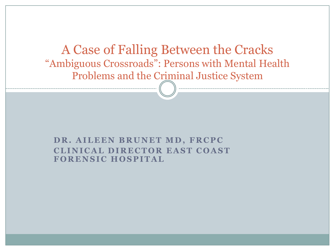A Case of Falling Between the Cracks "Ambiguous Crossroads": Persons with Mental Health Problems and the Criminal Justice System

#### **DR. AILEEN BRUNET MD, FRCPC CLINICAL DIRECTOR EAST COAST FORENSIC HOSPITAL**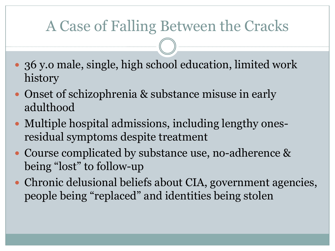- 36 y.o male, single, high school education, limited work history
- Onset of schizophrenia & substance misuse in early adulthood
- Multiple hospital admissions, including lengthy onesresidual symptoms despite treatment
- Course complicated by substance use, no-adherence & being "lost" to follow-up
- Chronic delusional beliefs about CIA, government agencies, people being "replaced" and identities being stolen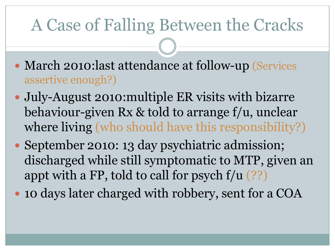- March 2010: last attendance at follow-up (Services assertive enough?)
- July-August 2010:multiple ER visits with bizarre behaviour-given Rx & told to arrange f/u, unclear where living (who should have this responsibility?)
- September 2010: 13 day psychiatric admission; discharged while still symptomatic to MTP, given an appt with a FP, told to call for psych  $f/u$  (??)
- 10 days later charged with robbery, sent for a COA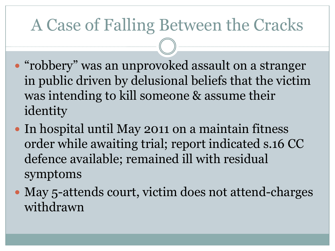- "robbery" was an unprovoked assault on a stranger in public driven by delusional beliefs that the victim was intending to kill someone & assume their identity
- In hospital until May 2011 on a maintain fitness order while awaiting trial; report indicated s.16 CC defence available; remained ill with residual symptoms
- May 5-attends court, victim does not attend-charges withdrawn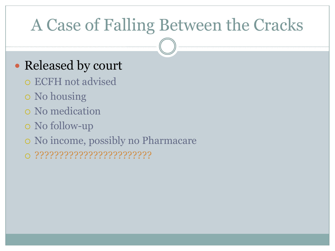#### • Released by court

- ECFH not advised
- No housing
- No medication
- No follow-up
- No income, possibly no Pharmacare
- ????????????????????????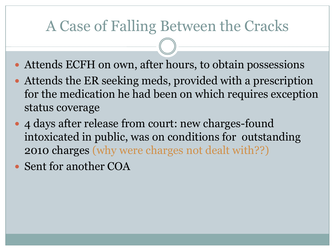- Attends ECFH on own, after hours, to obtain possessions
- Attends the ER seeking meds, provided with a prescription for the medication he had been on which requires exception status coverage
- 4 days after release from court: new charges-found intoxicated in public, was on conditions for outstanding 2010 charges (why were charges not dealt with??)
- Sent for another COA